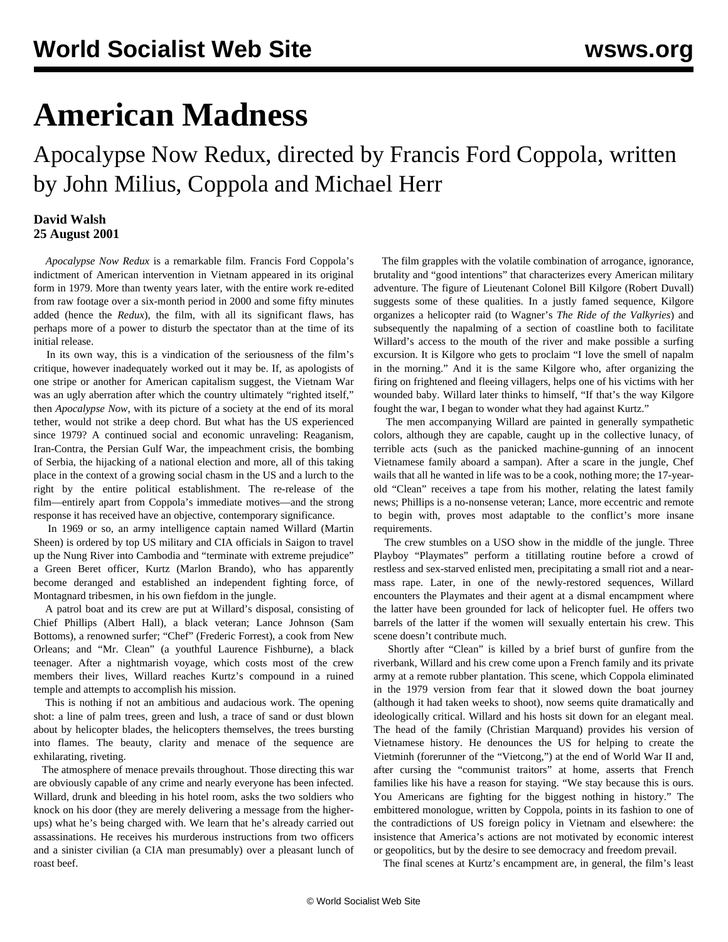## **American Madness**

## Apocalypse Now Redux, directed by Francis Ford Coppola, written by John Milius, Coppola and Michael Herr

## **David Walsh 25 August 2001**

 *Apocalypse Now Redux* is a remarkable film. Francis Ford Coppola's indictment of American intervention in Vietnam appeared in its original form in 1979. More than twenty years later, with the entire work re-edited from raw footage over a six-month period in 2000 and some fifty minutes added (hence the *Redux*), the film, with all its significant flaws, has perhaps more of a power to disturb the spectator than at the time of its initial release.

 In its own way, this is a vindication of the seriousness of the film's critique, however inadequately worked out it may be. If, as apologists of one stripe or another for American capitalism suggest, the Vietnam War was an ugly aberration after which the country ultimately "righted itself," then *Apocalypse Now*, with its picture of a society at the end of its moral tether, would not strike a deep chord. But what has the US experienced since 1979? A continued social and economic unraveling: Reaganism, Iran-Contra, the Persian Gulf War, the impeachment crisis, the bombing of Serbia, the hijacking of a national election and more, all of this taking place in the context of a growing social chasm in the US and a lurch to the right by the entire political establishment. The re-release of the film—entirely apart from Coppola's immediate motives—and the strong response it has received have an objective, contemporary significance.

 In 1969 or so, an army intelligence captain named Willard (Martin Sheen) is ordered by top US military and CIA officials in Saigon to travel up the Nung River into Cambodia and "terminate with extreme prejudice" a Green Beret officer, Kurtz (Marlon Brando), who has apparently become deranged and established an independent fighting force, of Montagnard tribesmen, in his own fiefdom in the jungle.

 A patrol boat and its crew are put at Willard's disposal, consisting of Chief Phillips (Albert Hall), a black veteran; Lance Johnson (Sam Bottoms), a renowned surfer; "Chef" (Frederic Forrest), a cook from New Orleans; and "Mr. Clean" (a youthful Laurence Fishburne), a black teenager. After a nightmarish voyage, which costs most of the crew members their lives, Willard reaches Kurtz's compound in a ruined temple and attempts to accomplish his mission.

 This is nothing if not an ambitious and audacious work. The opening shot: a line of palm trees, green and lush, a trace of sand or dust blown about by helicopter blades, the helicopters themselves, the trees bursting into flames. The beauty, clarity and menace of the sequence are exhilarating, riveting.

 The atmosphere of menace prevails throughout. Those directing this war are obviously capable of any crime and nearly everyone has been infected. Willard, drunk and bleeding in his hotel room, asks the two soldiers who knock on his door (they are merely delivering a message from the higherups) what he's being charged with. We learn that he's already carried out assassinations. He receives his murderous instructions from two officers and a sinister civilian (a CIA man presumably) over a pleasant lunch of roast beef.

 The film grapples with the volatile combination of arrogance, ignorance, brutality and "good intentions" that characterizes every American military adventure. The figure of Lieutenant Colonel Bill Kilgore (Robert Duvall) suggests some of these qualities. In a justly famed sequence, Kilgore organizes a helicopter raid (to Wagner's *The Ride of the Valkyries*) and subsequently the napalming of a section of coastline both to facilitate Willard's access to the mouth of the river and make possible a surfing excursion. It is Kilgore who gets to proclaim "I love the smell of napalm in the morning." And it is the same Kilgore who, after organizing the firing on frightened and fleeing villagers, helps one of his victims with her wounded baby. Willard later thinks to himself, "If that's the way Kilgore fought the war, I began to wonder what they had against Kurtz."

 The men accompanying Willard are painted in generally sympathetic colors, although they are capable, caught up in the collective lunacy, of terrible acts (such as the panicked machine-gunning of an innocent Vietnamese family aboard a sampan). After a scare in the jungle, Chef wails that all he wanted in life was to be a cook, nothing more; the 17-yearold "Clean" receives a tape from his mother, relating the latest family news; Phillips is a no-nonsense veteran; Lance, more eccentric and remote to begin with, proves most adaptable to the conflict's more insane requirements.

 The crew stumbles on a USO show in the middle of the jungle. Three Playboy "Playmates" perform a titillating routine before a crowd of restless and sex-starved enlisted men, precipitating a small riot and a nearmass rape. Later, in one of the newly-restored sequences, Willard encounters the Playmates and their agent at a dismal encampment where the latter have been grounded for lack of helicopter fuel. He offers two barrels of the latter if the women will sexually entertain his crew. This scene doesn't contribute much.

 Shortly after "Clean" is killed by a brief burst of gunfire from the riverbank, Willard and his crew come upon a French family and its private army at a remote rubber plantation. This scene, which Coppola eliminated in the 1979 version from fear that it slowed down the boat journey (although it had taken weeks to shoot), now seems quite dramatically and ideologically critical. Willard and his hosts sit down for an elegant meal. The head of the family (Christian Marquand) provides his version of Vietnamese history. He denounces the US for helping to create the Vietminh (forerunner of the "Vietcong,") at the end of World War II and, after cursing the "communist traitors" at home, asserts that French families like his have a reason for staying. "We stay because this is ours. You Americans are fighting for the biggest nothing in history." The embittered monologue, written by Coppola, points in its fashion to one of the contradictions of US foreign policy in Vietnam and elsewhere: the insistence that America's actions are not motivated by economic interest or geopolitics, but by the desire to see democracy and freedom prevail.

The final scenes at Kurtz's encampment are, in general, the film's least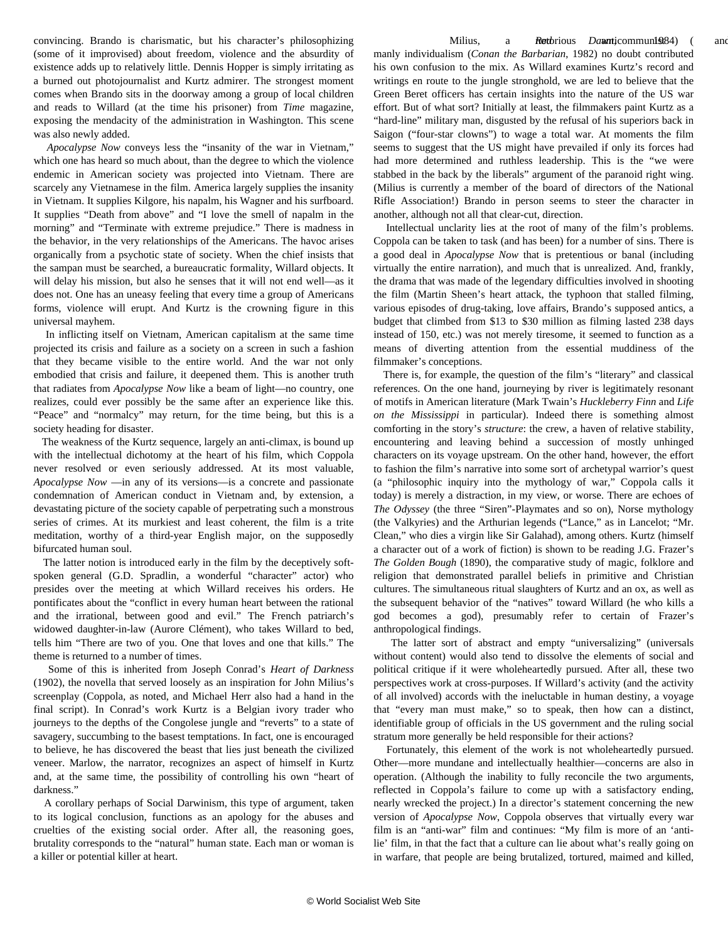convincing. Brando is charismatic, but his character's philosophizing (some of it improvised) about freedom, violence and the absurdity of existence adds up to relatively little. Dennis Hopper is simply irritating as a burned out photojournalist and Kurtz admirer. The strongest moment comes when Brando sits in the doorway among a group of local children and reads to Willard (at the time his prisoner) from *Time* magazine, exposing the mendacity of the administration in Washington. This scene was also newly added.

 *Apocalypse Now* conveys less the "insanity of the war in Vietnam," which one has heard so much about, than the degree to which the violence endemic in American society was projected into Vietnam. There are scarcely any Vietnamese in the film. America largely supplies the insanity in Vietnam. It supplies Kilgore, his napalm, his Wagner and his surfboard. It supplies "Death from above" and "I love the smell of napalm in the morning" and "Terminate with extreme prejudice." There is madness in the behavior, in the very relationships of the Americans. The havoc arises organically from a psychotic state of society. When the chief insists that the sampan must be searched, a bureaucratic formality, Willard objects. It will delay his mission, but also he senses that it will not end well—as it does not. One has an uneasy feeling that every time a group of Americans forms, violence will erupt. And Kurtz is the crowning figure in this universal mayhem.

 In inflicting itself on Vietnam, American capitalism at the same time projected its crisis and failure as a society on a screen in such a fashion that they became visible to the entire world. And the war not only embodied that crisis and failure, it deepened them. This is another truth that radiates from *Apocalypse Now* like a beam of light—no country, one realizes, could ever possibly be the same after an experience like this. "Peace" and "normalcy" may return, for the time being, but this is a society heading for disaster.

 The weakness of the Kurtz sequence, largely an anti-climax, is bound up with the intellectual dichotomy at the heart of his film, which Coppola never resolved or even seriously addressed. At its most valuable, *Apocalypse Now* —in any of its versions—is a concrete and passionate condemnation of American conduct in Vietnam and, by extension, a devastating picture of the society capable of perpetrating such a monstrous series of crimes. At its murkiest and least coherent, the film is a trite meditation, worthy of a third-year English major, on the supposedly bifurcated human soul.

 The latter notion is introduced early in the film by the deceptively softspoken general (G.D. Spradlin, a wonderful "character" actor) who presides over the meeting at which Willard receives his orders. He pontificates about the "conflict in every human heart between the rational and the irrational, between good and evil." The French patriarch's widowed daughter-in-law (Aurore Clément), who takes Willard to bed, tells him "There are two of you. One that loves and one that kills." The theme is returned to a number of times.

 Some of this is inherited from Joseph Conrad's *Heart of Darkness* (1902), the novella that served loosely as an inspiration for John Milius's screenplay (Coppola, as noted, and Michael Herr also had a hand in the final script). In Conrad's work Kurtz is a Belgian ivory trader who journeys to the depths of the Congolese jungle and "reverts" to a state of savagery, succumbing to the basest temptations. In fact, one is encouraged to believe, he has discovered the beast that lies just beneath the civilized veneer. Marlow, the narrator, recognizes an aspect of himself in Kurtz and, at the same time, the possibility of controlling his own "heart of darkness."

 A corollary perhaps of Social Darwinism, this type of argument, taken to its logical conclusion, functions as an apology for the abuses and cruelties of the existing social order. After all, the reasoning goes, brutality corresponds to the "natural" human state. Each man or woman is a killer or potential killer at heart.

Milius, a **Retorious Daunticommunist** (and *no* manly individualism (*Conan the Barbarian*, 1982) no doubt contributed his own confusion to the mix. As Willard examines Kurtz's record and writings en route to the jungle stronghold, we are led to believe that the Green Beret officers has certain insights into the nature of the US war effort. But of what sort? Initially at least, the filmmakers paint Kurtz as a "hard-line" military man, disgusted by the refusal of his superiors back in Saigon ("four-star clowns") to wage a total war. At moments the film seems to suggest that the US might have prevailed if only its forces had had more determined and ruthless leadership. This is the "we were stabbed in the back by the liberals" argument of the paranoid right wing. (Milius is currently a member of the board of directors of the National Rifle Association!) Brando in person seems to steer the character in another, although not all that clear-cut, direction.

 Intellectual unclarity lies at the root of many of the film's problems. Coppola can be taken to task (and has been) for a number of sins. There is a good deal in *Apocalypse Now* that is pretentious or banal (including virtually the entire narration), and much that is unrealized. And, frankly, the drama that was made of the legendary difficulties involved in shooting the film (Martin Sheen's heart attack, the typhoon that stalled filming, various episodes of drug-taking, love affairs, Brando's supposed antics, a budget that climbed from \$13 to \$30 million as filming lasted 238 days instead of 150, etc.) was not merely tiresome, it seemed to function as a means of diverting attention from the essential muddiness of the filmmaker's conceptions.

 There is, for example, the question of the film's "literary" and classical references. On the one hand, journeying by river is legitimately resonant of motifs in American literature (Mark Twain's *Huckleberry Finn* and *Life on the Mississippi* in particular). Indeed there is something almost comforting in the story's *structure*: the crew, a haven of relative stability, encountering and leaving behind a succession of mostly unhinged characters on its voyage upstream. On the other hand, however, the effort to fashion the film's narrative into some sort of archetypal warrior's quest (a "philosophic inquiry into the mythology of war," Coppola calls it today) is merely a distraction, in my view, or worse. There are echoes of *The Odyssey* (the three "Siren"-Playmates and so on), Norse mythology (the Valkyries) and the Arthurian legends ("Lance," as in Lancelot; "Mr. Clean," who dies a virgin like Sir Galahad), among others. Kurtz (himself a character out of a work of fiction) is shown to be reading J.G. Frazer's *The Golden Bough* (1890), the comparative study of magic, folklore and religion that demonstrated parallel beliefs in primitive and Christian cultures. The simultaneous ritual slaughters of Kurtz and an ox, as well as the subsequent behavior of the "natives" toward Willard (he who kills a god becomes a god), presumably refer to certain of Frazer's anthropological findings.

 The latter sort of abstract and empty "universalizing" (universals without content) would also tend to dissolve the elements of social and political critique if it were wholeheartedly pursued. After all, these two perspectives work at cross-purposes. If Willard's activity (and the activity of all involved) accords with the ineluctable in human destiny, a voyage that "every man must make," so to speak, then how can a distinct, identifiable group of officials in the US government and the ruling social stratum more generally be held responsible for their actions?

 Fortunately, this element of the work is not wholeheartedly pursued. Other—more mundane and intellectually healthier—concerns are also in operation. (Although the inability to fully reconcile the two arguments, reflected in Coppola's failure to come up with a satisfactory ending, nearly wrecked the project.) In a director's statement concerning the new version of *Apocalypse Now*, Coppola observes that virtually every war film is an "anti-war" film and continues: "My film is more of an 'antilie' film, in that the fact that a culture can lie about what's really going on in warfare, that people are being brutalized, tortured, maimed and killed,